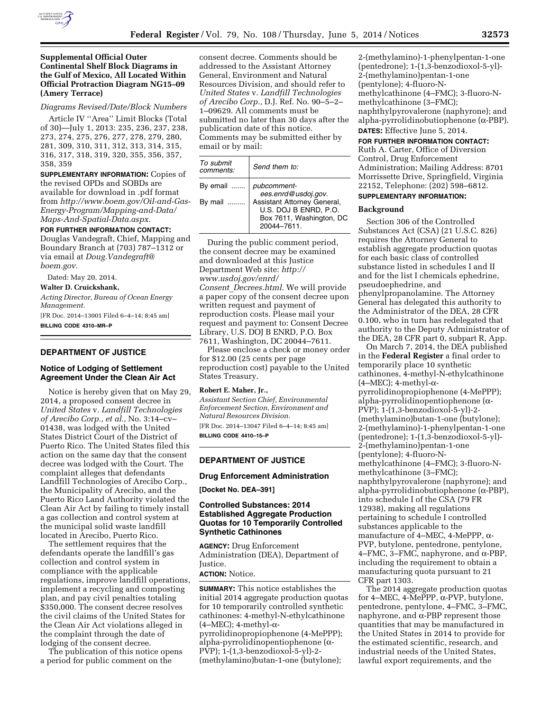

## *Diagrams Revised/Date/Block Numbers*

Article IV ''Area'' Limit Blocks (Total of 30)—July 1, 2013: 235, 236, 237, 238, 273, 274, 275, 276, 277, 278, 279, 280, 281, 309, 310, 311, 312, 313, 314, 315, 316, 317, 318, 319, 320, 355, 356, 357, 358, 359

**SUPPLEMENTARY INFORMATION:** Copies of the revised OPDs and SOBDs are available for download in .pdf format from *[http://www.boem.gov/Oil-and-Gas-](http://www.boem.gov/Oil-and-Gas-Energy-Program/Mapping-and-Data/Maps-And-Spatial-Data.aspx)[Energy-Program/Mapping-and-Data/](http://www.boem.gov/Oil-and-Gas-Energy-Program/Mapping-and-Data/Maps-And-Spatial-Data.aspx) [Maps-And-Spatial-Data.aspx.](http://www.boem.gov/Oil-and-Gas-Energy-Program/Mapping-and-Data/Maps-And-Spatial-Data.aspx)* 

#### **FOR FURTHER INFORMATION CONTACT:**

Douglas Vandegraft, Chief, Mapping and Boundary Branch at (703) 787–1312 or via email at *[Doug.Vandegraft@](mailto:Doug.Vandegraft@boem.gov) [boem.gov.](mailto:Doug.Vandegraft@boem.gov)* 

Dated: May 20, 2014.

**Walter D. Cruickshank,** 

*Acting Director, Bureau of Ocean Energy Management.* 

[FR Doc. 2014–13001 Filed 6–4–14; 8:45 am] **BILLING CODE 4310–MR–P** 

### **DEPARTMENT OF JUSTICE**

### **Notice of Lodging of Settlement Agreement Under the Clean Air Act**

Notice is hereby given that on May 29, 2014, a proposed consent decree in *United States* v. *Landfill Technologies of Arecibo Corp., et al.,* No. 3:14–cv– 01438, was lodged with the United States District Court of the District of Puerto Rico. The United States filed this action on the same day that the consent decree was lodged with the Court. The complaint alleges that defendants Landfill Technologies of Arecibo Corp., the Municipality of Arecibo, and the Puerto Rico Land Authority violated the Clean Air Act by failing to timely install a gas collection and control system at the municipal solid waste landfill located in Arecibo, Puerto Rico.

The settlement requires that the defendants operate the landfill's gas collection and control system in compliance with the applicable regulations, improve landfill operations, implement a recycling and composting plan, and pay civil penalties totaling \$350,000. The consent decree resolves the civil claims of the United States for the Clean Air Act violations alleged in the complaint through the date of lodging of the consent decree.

The publication of this notice opens a period for public comment on the

consent decree. Comments should be addressed to the Assistant Attorney General, Environment and Natural Resources Division, and should refer to *United States* v. *Landfill Technologies of Arecibo Corp.,* D.J. Ref. No. 90–5–2– 1–09629. All comments must be submitted no later than 30 days after the publication date of this notice. Comments may be submitted either by email or by mail:

| To submit<br>comments: | Send them to:                                                                                                                        |
|------------------------|--------------------------------------------------------------------------------------------------------------------------------------|
| By email<br>By mail    | pubcomment-<br>ees.enrd@usdoj.gov.<br>Assistant Attorney General,<br>U.S. DOJ B ENRD, P.O.<br>Box 7611, Washington, DC<br>20044-7611 |

During the public comment period, the consent decree may be examined and downloaded at this Justice Department Web site: *[http://](http://www.usdoj.gov/enrd/Consent_Decrees.html)  [www.usdoj.gov/enrd/](http://www.usdoj.gov/enrd/Consent_Decrees.html) Consent*\_*[Decrees.html.](http://www.usdoj.gov/enrd/Consent_Decrees.html)* We will provide a paper copy of the consent decree upon written request and payment of reproduction costs. Please mail your request and payment to: Consent Decree Library, U.S. DOJ B ENRD, P.O. Box 7611, Washington, DC 20044–7611.

Please enclose a check or money order for \$12.00 (25 cents per page reproduction cost) payable to the United States Treasury.

### **Robert E. Maher, Jr.,**

*Assistant Section Chief, Environmental Enforcement Section, Environment and Natural Resources Division.*  [FR Doc. 2014–13047 Filed 6–4–14; 8:45 am] **BILLING CODE 4410–15–P** 

**DEPARTMENT OF JUSTICE** 

# **Drug Enforcement Administration**

**[Docket No. DEA–391]** 

# **Controlled Substances: 2014 Established Aggregate Production Quotas for 10 Temporarily Controlled Synthetic Cathinones**

**AGENCY:** Drug Enforcement Administration (DEA), Department of Justice. **ACTION:** Notice.

**SUMMARY:** This notice establishes the initial 2014 aggregate production quotas for 10 temporarily controlled synthetic cathinones: 4-methyl-N-ethylcathinone  $(4-MEC); 4-methyl-\alpha$ pyrrolidinopropiophenone (4-MePPP); alpha-pyrrolidinopentiophenone (a-PVP); 1-(1,3-benzodioxol-5-yl)-2- (methylamino)butan-1-one (butylone);

2-(methylamino)-1-phenylpentan-1-one (pentedrone); 1-(1,3-benzodioxol-5-yl)- 2-(methylamino)pentan-1-one (pentylone); 4-fluoro-Nmethylcathinone (4–FMC); 3-fluoro-Nmethylcathinone (3–FMC); naphthylpyrovalerone (naphyrone); and alpha-pyrrolidinobutiophenone (a-PBP). **DATES:** Effective June 5, 2014.

#### **FOR FURTHER INFORMATION CONTACT:**

Ruth A. Carter, Office of Diversion Control, Drug Enforcement Administration; Mailing Address: 8701 Morrissette Drive, Springfield, Virginia 22152, Telephone: (202) 598–6812. **SUPPLEMENTARY INFORMATION:** 

#### **Background**

Section 306 of the Controlled Substances Act (CSA) (21 U.S.C. 826) requires the Attorney General to establish aggregate production quotas for each basic class of controlled substance listed in schedules I and II and for the list I chemicals ephedrine, pseudoephedrine, and phenylpropanolamine. The Attorney General has delegated this authority to the Administrator of the DEA, 28 CFR 0.100, who in turn has redelegated that authority to the Deputy Administrator of the DEA, 28 CFR part 0, subpart R, App.

On March 7, 2014, the DEA published in the **Federal Register** a final order to temporarily place 10 synthetic cathinones, 4-methyl-N-ethylcathinone  $(4-MEC); 4-methyl-\alpha$ pyrrolidinopropiophenone (4-MePPP); alpha-pyrrolidinopentiophenone (a-PVP); 1-(1,3-benzodioxol-5-yl)-2- (methylamino)butan-1-one (butylone); 2-(methylamino)-1-phenylpentan-1-one (pentedrone); 1-(1,3-benzodioxol-5-yl)- 2-(methylamino)pentan-1-one (pentylone); 4-fluoro-Nmethylcathinone (4–FMC); 3-fluoro-Nmethylcathinone (3–FMC); naphthylpyrovalerone (naphyrone); and alpha-pyrrolidinobutiophenone  $(\alpha$ -PBP), into schedule I of the CSA (79 FR 12938), making all regulations pertaining to schedule I controlled substances applicable to the manufacture of 4–MEC, 4-MePPP,  $\alpha$ -PVP, butylone, pentedrone, pentylone,  $4-FMC$ ,  $3-FMC$ , naphyrone, and  $\alpha$ -PBP, including the requirement to obtain a manufacturing quota pursuant to 21 CFR part 1303.

The 2014 aggregate production quotas for 4–MEC, 4-MePPP,  $\alpha$ -PVP, butylone, pentedrone, pentylone, 4–FMC, 3–FMC, naphyrone, and  $\alpha$ -PBP represent those quantities that may be manufactured in the United States in 2014 to provide for the estimated scientific, research, and industrial needs of the United States, lawful export requirements, and the